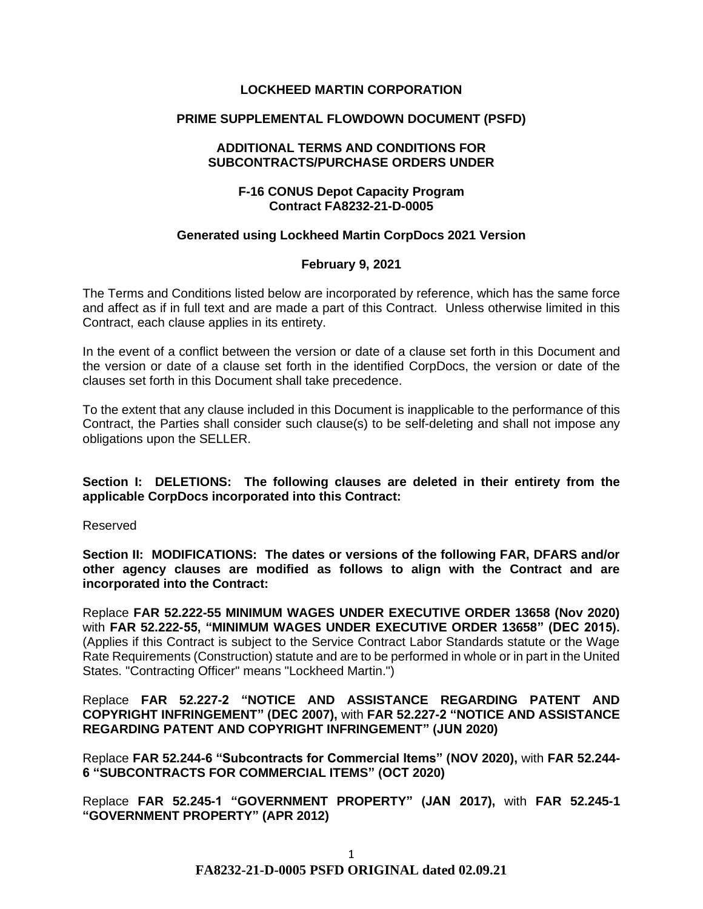## **LOCKHEED MARTIN CORPORATION**

## **PRIME SUPPLEMENTAL FLOWDOWN DOCUMENT (PSFD)**

#### **ADDITIONAL TERMS AND CONDITIONS FOR SUBCONTRACTS/PURCHASE ORDERS UNDER**

## **F-16 CONUS Depot Capacity Program Contract FA8232-21-D-0005**

#### **Generated using Lockheed Martin CorpDocs 2021 Version**

## **February 9, 2021**

The Terms and Conditions listed below are incorporated by reference, which has the same force and affect as if in full text and are made a part of this Contract. Unless otherwise limited in this Contract, each clause applies in its entirety.

In the event of a conflict between the version or date of a clause set forth in this Document and the version or date of a clause set forth in the identified CorpDocs, the version or date of the clauses set forth in this Document shall take precedence.

To the extent that any clause included in this Document is inapplicable to the performance of this Contract, the Parties shall consider such clause(s) to be self-deleting and shall not impose any obligations upon the SELLER.

**Section I: DELETIONS: The following clauses are deleted in their entirety from the applicable CorpDocs incorporated into this Contract:**

Reserved

**Section II: MODIFICATIONS: The dates or versions of the following FAR, DFARS and/or other agency clauses are modified as follows to align with the Contract and are incorporated into the Contract:**

Replace **FAR 52.222-55 MINIMUM WAGES UNDER EXECUTIVE ORDER 13658 (Nov 2020)**  with **FAR 52.222-55, "MINIMUM WAGES UNDER EXECUTIVE ORDER 13658" (DEC 2015).**  (Applies if this Contract is subject to the Service Contract Labor Standards statute or the Wage Rate Requirements (Construction) statute and are to be performed in whole or in part in the United States. "Contracting Officer" means "Lockheed Martin.")

Replace **FAR 52.227-2 "NOTICE AND ASSISTANCE REGARDING PATENT AND COPYRIGHT INFRINGEMENT" (DEC 2007),** with **FAR 52.227-2 "NOTICE AND ASSISTANCE REGARDING PATENT AND COPYRIGHT INFRINGEMENT" (JUN 2020)** 

Replace **FAR 52.244-6 "Subcontracts for Commercial Items" (NOV 2020),** with **FAR 52.244- 6 "SUBCONTRACTS FOR COMMERCIAL ITEMS" (OCT 2020)**

Replace **FAR 52.245-1 "GOVERNMENT PROPERTY" (JAN 2017),** with **FAR 52.245-1 "GOVERNMENT PROPERTY" (APR 2012)**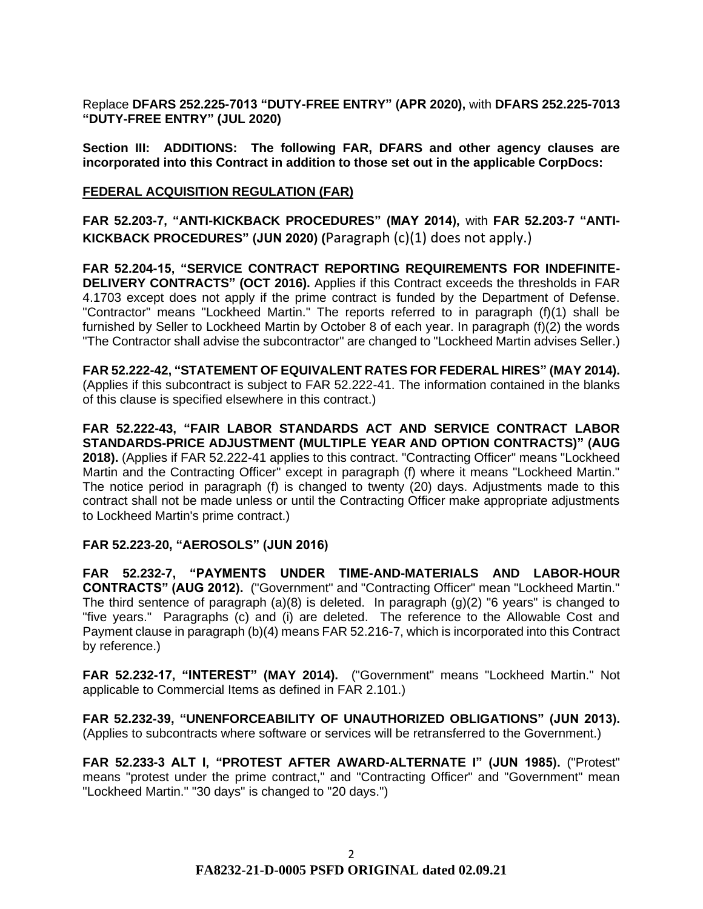Replace **DFARS 252.225-7013 "DUTY-FREE ENTRY" (APR 2020),** with **DFARS 252.225-7013 "DUTY-FREE ENTRY" (JUL 2020)**

**Section III: ADDITIONS: The following FAR, DFARS and other agency clauses are incorporated into this Contract in addition to those set out in the applicable CorpDocs:**

#### **[FEDERAL ACQUISITION REGULATION \(](https://www.acquisition.gov/browsefar)FAR)**

**FAR 52.203-7, "ANTI-KICKBACK PROCEDURES" (MAY 2014),** with **FAR 52.203-7 "ANTI-KICKBACK PROCEDURES" (JUN 2020) (**Paragraph (c)(1) does not apply.)

**FAR 52.204-15, "SERVICE CONTRACT REPORTING REQUIREMENTS FOR INDEFINITE-DELIVERY CONTRACTS" (OCT 2016).** Applies if this Contract exceeds the thresholds in FAR 4.1703 except does not apply if the prime contract is funded by the Department of Defense. "Contractor" means "Lockheed Martin." The reports referred to in paragraph (f)(1) shall be furnished by Seller to Lockheed Martin by October 8 of each year. In paragraph (f)(2) the words "The Contractor shall advise the subcontractor" are changed to "Lockheed Martin advises Seller.)

**FAR 52.222-42, "STATEMENT OF EQUIVALENT RATES FOR FEDERAL HIRES" (MAY 2014).**  (Applies if this subcontract is subject to FAR 52.222-41. The information contained in the blanks of this clause is specified elsewhere in this contract.)

**FAR 52.222-43, "FAIR LABOR STANDARDS ACT AND SERVICE CONTRACT LABOR STANDARDS-PRICE ADJUSTMENT (MULTIPLE YEAR AND OPTION CONTRACTS)" (AUG 2018).** (Applies if FAR 52.222-41 applies to this contract. "Contracting Officer" means "Lockheed Martin and the Contracting Officer" except in paragraph (f) where it means "Lockheed Martin." The notice period in paragraph (f) is changed to twenty (20) days. Adjustments made to this contract shall not be made unless or until the Contracting Officer make appropriate adjustments to Lockheed Martin's prime contract.)

#### **FAR 52.223-20, "AEROSOLS" (JUN 2016)**

**FAR 52.232-7, "PAYMENTS UNDER TIME-AND-MATERIALS AND LABOR-HOUR CONTRACTS" (AUG 2012).** ("Government" and "Contracting Officer" mean "Lockheed Martin." The third sentence of paragraph  $(a)(8)$  is deleted. In paragraph  $(q)(2)$  "6 years" is changed to "five years." Paragraphs (c) and (i) are deleted. The reference to the Allowable Cost and Payment clause in paragraph (b)(4) means FAR 52.216-7, which is incorporated into this Contract by reference.)

**FAR 52.232-17, "INTEREST" (MAY 2014).** ("Government" means "Lockheed Martin." Not applicable to Commercial Items as defined in FAR 2.101.)

**FAR 52.232-39, "UNENFORCEABILITY OF UNAUTHORIZED OBLIGATIONS" (JUN 2013).** (Applies to subcontracts where software or services will be retransferred to the Government.)

**FAR 52.233-3 ALT I, "PROTEST AFTER AWARD-ALTERNATE I" (JUN 1985).** ("Protest" means "protest under the prime contract," and "Contracting Officer" and "Government" mean "Lockheed Martin." "30 days" is changed to "20 days.")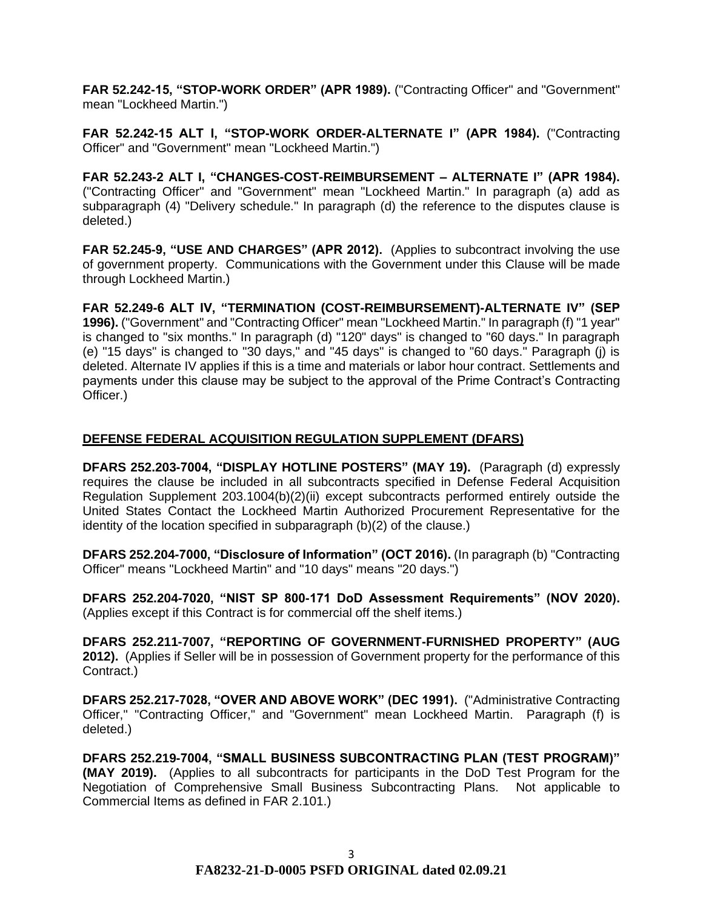**FAR 52.242-15, "STOP-WORK ORDER" (APR 1989).** ("Contracting Officer" and "Government" mean "Lockheed Martin.")

**FAR 52.242-15 ALT I, "STOP-WORK ORDER-ALTERNATE I" (APR 1984).** ("Contracting Officer" and "Government" mean "Lockheed Martin.")

**FAR 52.243-2 ALT I, "CHANGES-COST-REIMBURSEMENT – ALTERNATE I" (APR 1984).**  ("Contracting Officer" and "Government" mean "Lockheed Martin." In paragraph (a) add as subparagraph (4) "Delivery schedule." In paragraph (d) the reference to the disputes clause is deleted.)

**FAR 52.245-9, "USE AND CHARGES" (APR 2012).** (Applies to subcontract involving the use of government property. Communications with the Government under this Clause will be made through Lockheed Martin.)

**FAR 52.249-6 ALT IV, "TERMINATION (COST-REIMBURSEMENT)-ALTERNATE IV" (SEP 1996).** ("Government" and "Contracting Officer" mean "Lockheed Martin." In paragraph (f) "1 year" is changed to "six months." In paragraph (d) "120" days" is changed to "60 days." In paragraph (e) "15 days" is changed to "30 days," and "45 days" is changed to "60 days." Paragraph (j) is deleted. Alternate IV applies if this is a time and materials or labor hour contract. Settlements and payments under this clause may be subject to the approval of the Prime Contract's Contracting Officer.)

# **DEFENSE FEDERAL ACQUISITION REGULATION SUPPLEMENT (DFARS)**

**DFARS 252.203-7004, "DISPLAY HOTLINE POSTERS" (MAY 19).** (Paragraph (d) expressly requires the clause be included in all subcontracts specified in Defense Federal Acquisition Regulation Supplement 203.1004(b)(2)(ii) except subcontracts performed entirely outside the United States Contact the Lockheed Martin Authorized Procurement Representative for the identity of the location specified in subparagraph (b)(2) of the clause.)

**DFARS 252.204-7000, "Disclosure of Information" (OCT 2016).** (In paragraph (b) "Contracting Officer" means "Lockheed Martin" and "10 days" means "20 days.")

**DFARS 252.204-7020, "NIST SP 800-171 DoD Assessment Requirements" (NOV 2020).**  (Applies except if this Contract is for commercial off the shelf items.)

**DFARS 252.211-7007, "REPORTING OF GOVERNMENT-FURNISHED PROPERTY" (AUG 2012).** (Applies if Seller will be in possession of Government property for the performance of this Contract.)

**DFARS 252.217-7028, "OVER AND ABOVE WORK" (DEC 1991).** ("Administrative Contracting Officer," "Contracting Officer," and "Government" mean Lockheed Martin. Paragraph (f) is deleted.)

**DFARS 252.219-7004, "SMALL BUSINESS SUBCONTRACTING PLAN (TEST PROGRAM)" (MAY 2019).** (Applies to all subcontracts for participants in the DoD Test Program for the Negotiation of Comprehensive Small Business Subcontracting Plans. Not applicable to Commercial Items as defined in FAR 2.101.)